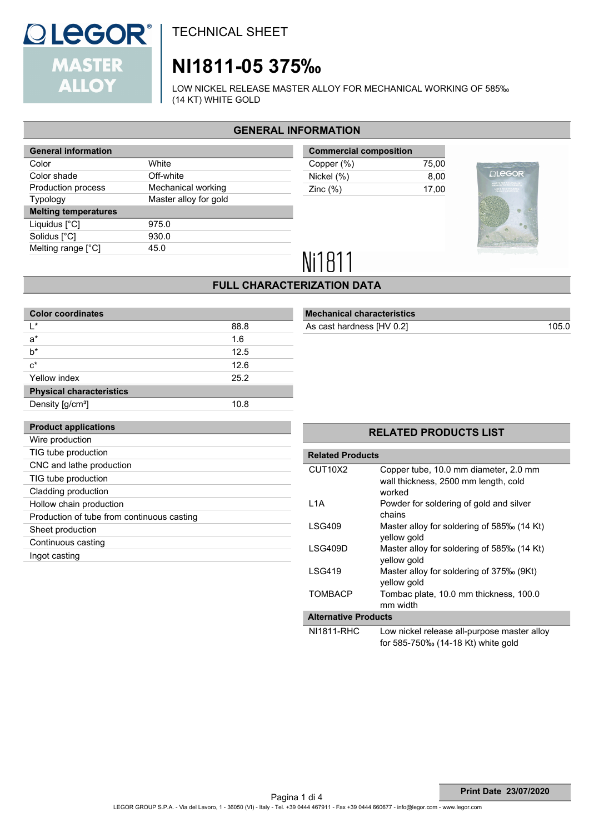

# **NI1811-05 375‰**

LOW NICKEL RELEASE MASTER ALLOY FOR MECHANICAL WORKING OF 585‰ (14 KT) WHITE GOLD

## **GENERAL INFORMATION**

| <b>General information</b>  |                       |  |  |
|-----------------------------|-----------------------|--|--|
| Color                       | White                 |  |  |
| Color shade                 | Off-white             |  |  |
| Production process          | Mechanical working    |  |  |
| <b>Typology</b>             | Master alloy for gold |  |  |
| <b>Melting temperatures</b> |                       |  |  |
| Liquidus [°C]               | 975.0                 |  |  |
| Solidus [°C]                | 930.0                 |  |  |
| Melting range [°C]          | 45.0                  |  |  |
|                             |                       |  |  |

| <b>Commercial composition</b> |       |  |  |
|-------------------------------|-------|--|--|
| Copper (%)                    | 75.00 |  |  |
| Nickel (%)                    | 8.00  |  |  |
| Zinc $(\%)$                   | 17.00 |  |  |
|                               |       |  |  |



# Ni1811

### **FULL CHARACTERIZATION DATA**

| <b>Color coordinates</b>                   |      |  |  |  |
|--------------------------------------------|------|--|--|--|
| ı∗                                         | 88.8 |  |  |  |
| a*                                         | 1.6  |  |  |  |
| h*                                         | 12.5 |  |  |  |
| $c^*$                                      | 126  |  |  |  |
| Yellow index                               | 25.2 |  |  |  |
| <b>Physical characteristics</b>            |      |  |  |  |
| Density [g/cm <sup>3</sup> ]               | 10.8 |  |  |  |
|                                            |      |  |  |  |
| <b>Product applications</b>                |      |  |  |  |
| Wire production                            |      |  |  |  |
| TIG tube production                        |      |  |  |  |
| CNC and lathe production                   |      |  |  |  |
| TIG tube production                        |      |  |  |  |
| Cladding production                        |      |  |  |  |
| Hollow chain production                    |      |  |  |  |
| Production of tube from continuous casting |      |  |  |  |
| Sheet production                           |      |  |  |  |
| Continuous casting                         |      |  |  |  |
| Ingot casting                              |      |  |  |  |

### **Mechanical characteristics** As cast hardness [HV 0.2] 105.0

### **RELATED PRODUCTS LIST**

| <b>Related Products</b>          |                                                                                         |  |  |  |
|----------------------------------|-----------------------------------------------------------------------------------------|--|--|--|
| CUT <sub>10</sub> X <sub>2</sub> | Copper tube, 10.0 mm diameter, 2.0 mm<br>wall thickness, 2500 mm length, cold<br>worked |  |  |  |
| L <sub>1</sub> A                 | Powder for soldering of gold and silver<br>chains                                       |  |  |  |
| LSG409                           | Master alloy for soldering of 585‰ (14 Kt)<br>yellow gold                               |  |  |  |
| LSG409D                          | Master alloy for soldering of 585‰ (14 Kt)<br>yellow gold                               |  |  |  |
| <b>LSG419</b>                    | Master alloy for soldering of 375‰ (9Kt)<br>yellow gold                                 |  |  |  |
| <b>TOMBACP</b>                   | Tombac plate, 10.0 mm thickness, 100.0<br>mm width                                      |  |  |  |
| <b>Alternative Products</b>      |                                                                                         |  |  |  |
| .                                |                                                                                         |  |  |  |

NI1811-RHC Low nickel release all-purpose master alloy for 585-750‰ (14-18 Kt) white gold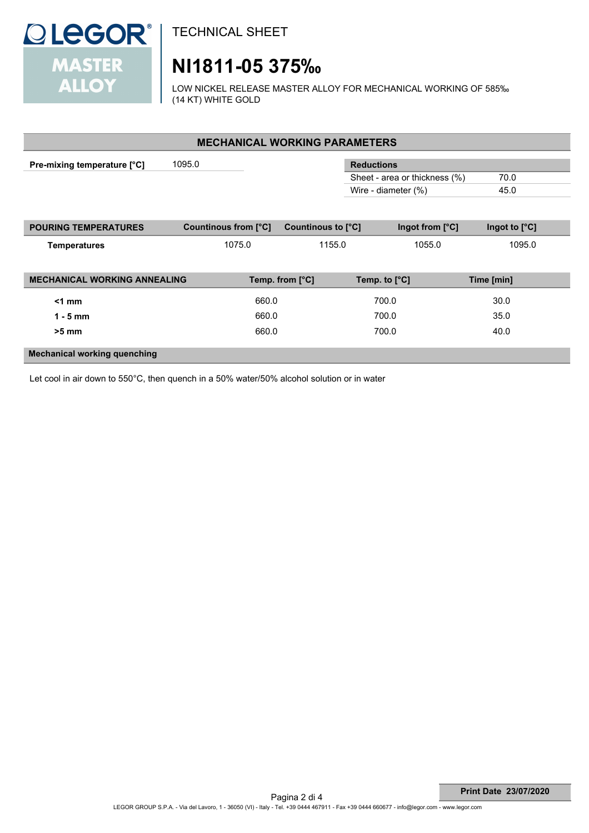

# **NI1811-05 375‰**

LOW NICKEL RELEASE MASTER ALLOY FOR MECHANICAL WORKING OF 585‰ (14 KT) WHITE GOLD

| <b>MECHANICAL WORKING PARAMETERS</b> |                      |                    |                               |                        |  |  |  |  |
|--------------------------------------|----------------------|--------------------|-------------------------------|------------------------|--|--|--|--|
| Pre-mixing temperature [°C]          | 1095.0               |                    | <b>Reductions</b>             |                        |  |  |  |  |
|                                      |                      |                    | Sheet - area or thickness (%) | 70.0                   |  |  |  |  |
|                                      |                      |                    | Wire - diameter (%)           | 45.0                   |  |  |  |  |
|                                      |                      |                    |                               |                        |  |  |  |  |
| <b>POURING TEMPERATURES</b>          | Countinous from [°C] | Countinous to [°C] | Ingot from $[°C]$             | Ingot to $[^{\circ}C]$ |  |  |  |  |
| <b>Temperatures</b>                  | 1075.0               | 1155.0             | 1055.0                        | 1095.0                 |  |  |  |  |
|                                      |                      |                    |                               |                        |  |  |  |  |
| <b>MECHANICAL WORKING ANNEALING</b>  |                      | Temp. from [°C]    | Temp. to $[°C]$               | Time [min]             |  |  |  |  |
| $<1$ mm                              | 660.0                |                    | 700.0                         | 30.0                   |  |  |  |  |
| $1 - 5$ mm                           | 660.0                |                    | 700.0                         | 35.0                   |  |  |  |  |
| $>5$ mm                              | 660.0                |                    | 700.0                         | 40.0                   |  |  |  |  |
| <b>Mechanical working quenching</b>  |                      |                    |                               |                        |  |  |  |  |

Let cool in air down to 550°C, then quench in a 50% water/50% alcohol solution or in water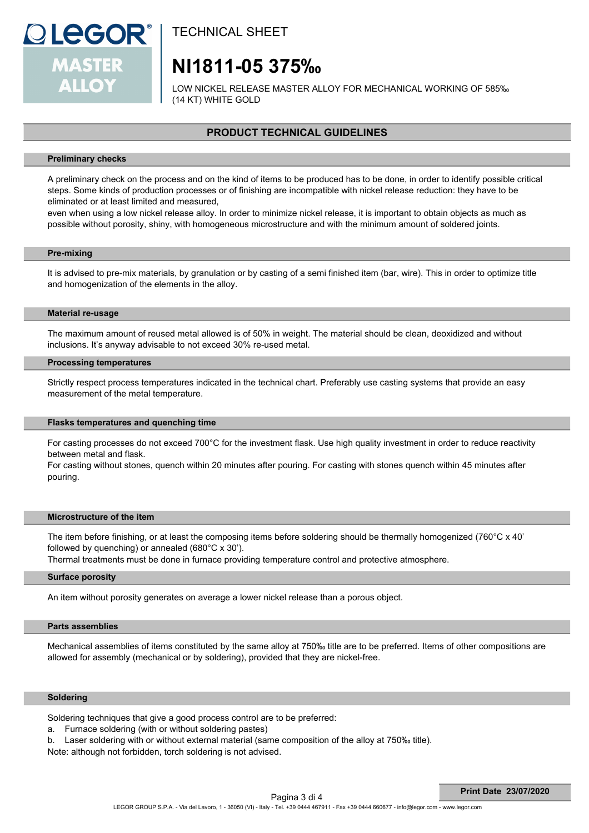

# **NI1811-05 375‰**

LOW NICKEL RELEASE MASTER ALLOY FOR MECHANICAL WORKING OF 585‰ (14 KT) WHITE GOLD

## **PRODUCT TECHNICAL GUIDELINES**

#### **Preliminary checks**

A preliminary check on the process and on the kind of items to be produced has to be done, in order to identify possible critical steps. Some kinds of production processes or of finishing are incompatible with nickel release reduction: they have to be eliminated or at least limited and measured,

even when using a low nickel release alloy. In order to minimize nickel release, it is important to obtain objects as much as possible without porosity, shiny, with homogeneous microstructure and with the minimum amount of soldered joints.

#### **Pre-mixing**

It is advised to pre-mix materials, by granulation or by casting of a semi finished item (bar, wire). This in order to optimize title and homogenization of the elements in the alloy.

#### **Material re-usage**

The maximum amount of reused metal allowed is of 50% in weight. The material should be clean, deoxidized and without inclusions. It's anyway advisable to not exceed 30% re-used metal.

#### **Processing temperatures**

Strictly respect process temperatures indicated in the technical chart. Preferably use casting systems that provide an easy measurement of the metal temperature.

#### **Flasks temperatures and quenching time**

For casting processes do not exceed 700°C for the investment flask. Use high quality investment in order to reduce reactivity between metal and flask.

For casting without stones, quench within 20 minutes after pouring. For casting with stones quench within 45 minutes after pouring.

#### **Microstructure of the item**

The item before finishing, or at least the composing items before soldering should be thermally homogenized (760°C x 40' followed by quenching) or annealed (680°C x 30').

Thermal treatments must be done in furnace providing temperature control and protective atmosphere.

#### **Surface porosity**

An item without porosity generates on average a lower nickel release than a porous object.

#### **Parts assemblies**

Mechanical assemblies of items constituted by the same alloy at 750‰ title are to be preferred. Items of other compositions are allowed for assembly (mechanical or by soldering), provided that they are nickel-free.

#### **Soldering**

Soldering techniques that give a good process control are to be preferred:

- a. Furnace soldering (with or without soldering pastes)
- b. Laser soldering with or without external material (same composition of the alloy at 750‰ title).

Note: although not forbidden, torch soldering is not advised.